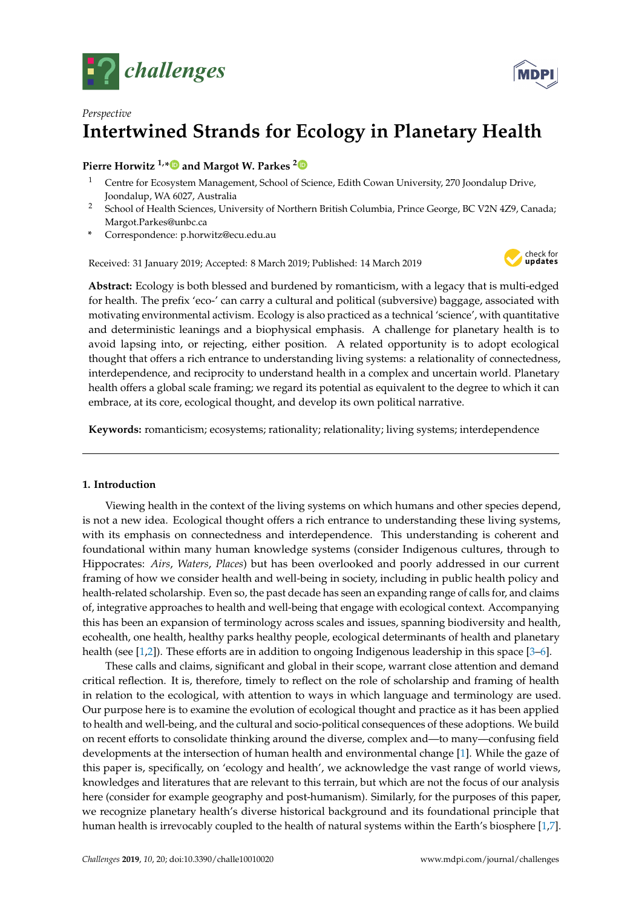



# *Perspective* **Intertwined Strands for Ecology in Planetary Health**

# **Pierre Horwitz 1,[\\*](https://orcid.org/0000-0002-8689-7888) and Margot W. Parkes [2](https://orcid.org/0000-0003-1967-2977)**

- <sup>1</sup> Centre for Ecosystem Management, School of Science, Edith Cowan University, 270 Joondalup Drive, Joondalup, WA 6027, Australia
- <sup>2</sup> School of Health Sciences, University of Northern British Columbia, Prince George, BC V2N 4Z9, Canada; Margot.Parkes@unbc.ca
- **\*** Correspondence: p.horwitz@ecu.edu.au

Received: 31 January 2019; Accepted: 8 March 2019; Published: 14 March 2019



**Abstract:** Ecology is both blessed and burdened by romanticism, with a legacy that is multi-edged for health. The prefix 'eco-' can carry a cultural and political (subversive) baggage, associated with motivating environmental activism. Ecology is also practiced as a technical 'science', with quantitative and deterministic leanings and a biophysical emphasis. A challenge for planetary health is to avoid lapsing into, or rejecting, either position. A related opportunity is to adopt ecological thought that offers a rich entrance to understanding living systems: a relationality of connectedness, interdependence, and reciprocity to understand health in a complex and uncertain world. Planetary health offers a global scale framing; we regard its potential as equivalent to the degree to which it can embrace, at its core, ecological thought, and develop its own political narrative.

**Keywords:** romanticism; ecosystems; rationality; relationality; living systems; interdependence

# **1. Introduction**

Viewing health in the context of the living systems on which humans and other species depend, is not a new idea. Ecological thought offers a rich entrance to understanding these living systems, with its emphasis on connectedness and interdependence. This understanding is coherent and foundational within many human knowledge systems (consider Indigenous cultures, through to Hippocrates: *Airs*, *Waters*, *Places*) but has been overlooked and poorly addressed in our current framing of how we consider health and well-being in society, including in public health policy and health-related scholarship. Even so, the past decade has seen an expanding range of calls for, and claims of, integrative approaches to health and well-being that engage with ecological context. Accompanying this has been an expansion of terminology across scales and issues, spanning biodiversity and health, ecohealth, one health, healthy parks healthy people, ecological determinants of health and planetary health (see [\[1](#page-9-0)[,2\]](#page-9-1)). These efforts are in addition to ongoing Indigenous leadership in this space [\[3](#page-9-2)[–6\]](#page-9-3).

These calls and claims, significant and global in their scope, warrant close attention and demand critical reflection. It is, therefore, timely to reflect on the role of scholarship and framing of health in relation to the ecological, with attention to ways in which language and terminology are used. Our purpose here is to examine the evolution of ecological thought and practice as it has been applied to health and well-being, and the cultural and socio-political consequences of these adoptions. We build on recent efforts to consolidate thinking around the diverse, complex and—to many—confusing field developments at the intersection of human health and environmental change [\[1\]](#page-9-0). While the gaze of this paper is, specifically, on 'ecology and health', we acknowledge the vast range of world views, knowledges and literatures that are relevant to this terrain, but which are not the focus of our analysis here (consider for example geography and post-humanism). Similarly, for the purposes of this paper, we recognize planetary health's diverse historical background and its foundational principle that human health is irrevocably coupled to the health of natural systems within the Earth's biosphere [\[1](#page-9-0)[,7\]](#page-9-4).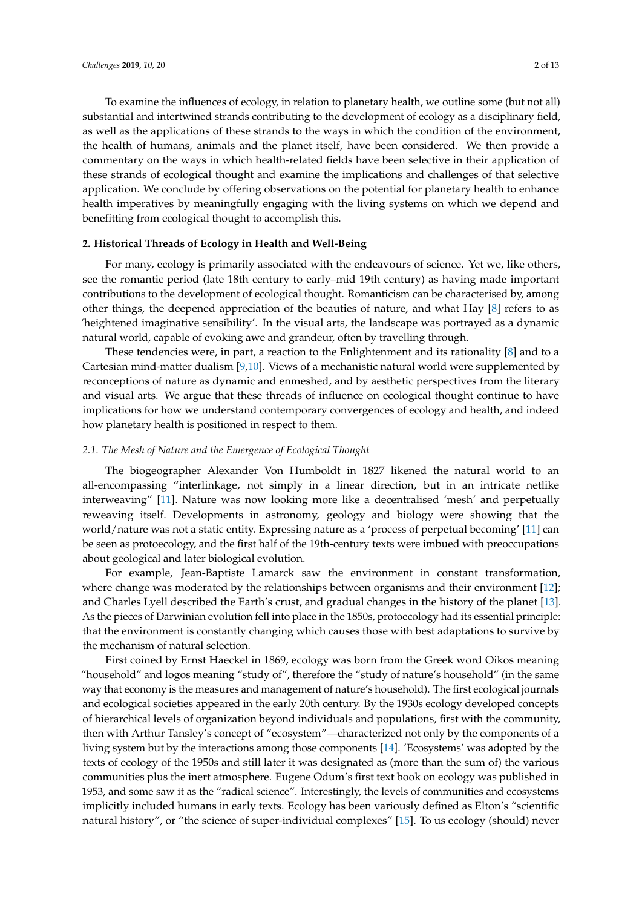To examine the influences of ecology, in relation to planetary health, we outline some (but not all) substantial and intertwined strands contributing to the development of ecology as a disciplinary field, as well as the applications of these strands to the ways in which the condition of the environment, the health of humans, animals and the planet itself, have been considered. We then provide a commentary on the ways in which health-related fields have been selective in their application of these strands of ecological thought and examine the implications and challenges of that selective application. We conclude by offering observations on the potential for planetary health to enhance health imperatives by meaningfully engaging with the living systems on which we depend and benefitting from ecological thought to accomplish this.

## **2. Historical Threads of Ecology in Health and Well-Being**

For many, ecology is primarily associated with the endeavours of science. Yet we, like others, see the romantic period (late 18th century to early–mid 19th century) as having made important contributions to the development of ecological thought. Romanticism can be characterised by, among other things, the deepened appreciation of the beauties of nature, and what Hay [\[8\]](#page-9-5) refers to as 'heightened imaginative sensibility'. In the visual arts, the landscape was portrayed as a dynamic natural world, capable of evoking awe and grandeur, often by travelling through.

These tendencies were, in part, a reaction to the Enlightenment and its rationality [\[8\]](#page-9-5) and to a Cartesian mind-matter dualism [\[9,](#page-9-6)[10\]](#page-9-7). Views of a mechanistic natural world were supplemented by reconceptions of nature as dynamic and enmeshed, and by aesthetic perspectives from the literary and visual arts. We argue that these threads of influence on ecological thought continue to have implications for how we understand contemporary convergences of ecology and health, and indeed how planetary health is positioned in respect to them.

## *2.1. The Mesh of Nature and the Emergence of Ecological Thought*

The biogeographer Alexander Von Humboldt in 1827 likened the natural world to an all-encompassing "interlinkage, not simply in a linear direction, but in an intricate netlike interweaving" [\[11\]](#page-9-8). Nature was now looking more like a decentralised 'mesh' and perpetually reweaving itself. Developments in astronomy, geology and biology were showing that the world/nature was not a static entity. Expressing nature as a 'process of perpetual becoming' [\[11\]](#page-9-8) can be seen as protoecology, and the first half of the 19th-century texts were imbued with preoccupations about geological and later biological evolution.

For example, Jean-Baptiste Lamarck saw the environment in constant transformation, where change was moderated by the relationships between organisms and their environment [\[12\]](#page-9-9); and Charles Lyell described the Earth's crust, and gradual changes in the history of the planet [\[13\]](#page-9-10). As the pieces of Darwinian evolution fell into place in the 1850s, protoecology had its essential principle: that the environment is constantly changing which causes those with best adaptations to survive by the mechanism of natural selection.

First coined by Ernst Haeckel in 1869, ecology was born from the Greek word Oikos meaning "household" and logos meaning "study of", therefore the "study of nature's household" (in the same way that economy is the measures and management of nature's household). The first ecological journals and ecological societies appeared in the early 20th century. By the 1930s ecology developed concepts of hierarchical levels of organization beyond individuals and populations, first with the community, then with Arthur Tansley's concept of "ecosystem"—characterized not only by the components of a living system but by the interactions among those components [\[14\]](#page-9-11). 'Ecosystems' was adopted by the texts of ecology of the 1950s and still later it was designated as (more than the sum of) the various communities plus the inert atmosphere. Eugene Odum's first text book on ecology was published in 1953, and some saw it as the "radical science". Interestingly, the levels of communities and ecosystems implicitly included humans in early texts. Ecology has been variously defined as Elton's "scientific natural history", or "the science of super-individual complexes" [\[15\]](#page-9-12). To us ecology (should) never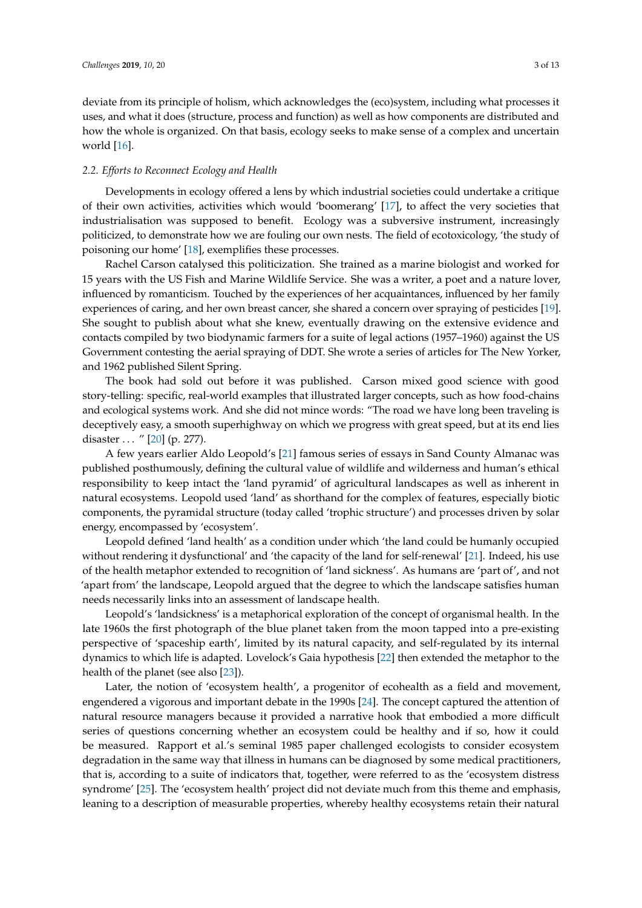deviate from its principle of holism, which acknowledges the (eco)system, including what processes it uses, and what it does (structure, process and function) as well as how components are distributed and how the whole is organized. On that basis, ecology seeks to make sense of a complex and uncertain world [\[16\]](#page-9-13).

## *2.2. Efforts to Reconnect Ecology and Health*

Developments in ecology offered a lens by which industrial societies could undertake a critique of their own activities, activities which would 'boomerang' [\[17\]](#page-9-14), to affect the very societies that industrialisation was supposed to benefit. Ecology was a subversive instrument, increasingly politicized, to demonstrate how we are fouling our own nests. The field of ecotoxicology, 'the study of poisoning our home' [\[18\]](#page-9-15), exemplifies these processes.

Rachel Carson catalysed this politicization. She trained as a marine biologist and worked for 15 years with the US Fish and Marine Wildlife Service. She was a writer, a poet and a nature lover, influenced by romanticism. Touched by the experiences of her acquaintances, influenced by her family experiences of caring, and her own breast cancer, she shared a concern over spraying of pesticides [\[19\]](#page-9-16). She sought to publish about what she knew, eventually drawing on the extensive evidence and contacts compiled by two biodynamic farmers for a suite of legal actions (1957–1960) against the US Government contesting the aerial spraying of DDT. She wrote a series of articles for The New Yorker, and 1962 published Silent Spring.

The book had sold out before it was published. Carson mixed good science with good story-telling: specific, real-world examples that illustrated larger concepts, such as how food-chains and ecological systems work. And she did not mince words: "The road we have long been traveling is deceptively easy, a smooth superhighway on which we progress with great speed, but at its end lies disaster . . . " [\[20\]](#page-9-17) (p. 277).

A few years earlier Aldo Leopold's [\[21\]](#page-9-18) famous series of essays in Sand County Almanac was published posthumously, defining the cultural value of wildlife and wilderness and human's ethical responsibility to keep intact the 'land pyramid' of agricultural landscapes as well as inherent in natural ecosystems. Leopold used 'land' as shorthand for the complex of features, especially biotic components, the pyramidal structure (today called 'trophic structure') and processes driven by solar energy, encompassed by 'ecosystem'.

Leopold defined 'land health' as a condition under which 'the land could be humanly occupied without rendering it dysfunctional' and 'the capacity of the land for self-renewal' [\[21\]](#page-9-18). Indeed, his use of the health metaphor extended to recognition of 'land sickness'. As humans are 'part of', and not 'apart from' the landscape, Leopold argued that the degree to which the landscape satisfies human needs necessarily links into an assessment of landscape health.

Leopold's 'landsickness' is a metaphorical exploration of the concept of organismal health. In the late 1960s the first photograph of the blue planet taken from the moon tapped into a pre-existing perspective of 'spaceship earth', limited by its natural capacity, and self-regulated by its internal dynamics to which life is adapted. Lovelock's Gaia hypothesis [\[22\]](#page-9-19) then extended the metaphor to the health of the planet (see also [\[23\]](#page-9-20)).

Later, the notion of 'ecosystem health', a progenitor of ecohealth as a field and movement, engendered a vigorous and important debate in the 1990s [\[24\]](#page-9-21). The concept captured the attention of natural resource managers because it provided a narrative hook that embodied a more difficult series of questions concerning whether an ecosystem could be healthy and if so, how it could be measured. Rapport et al.'s seminal 1985 paper challenged ecologists to consider ecosystem degradation in the same way that illness in humans can be diagnosed by some medical practitioners, that is, according to a suite of indicators that, together, were referred to as the 'ecosystem distress syndrome' [\[25\]](#page-9-22). The 'ecosystem health' project did not deviate much from this theme and emphasis, leaning to a description of measurable properties, whereby healthy ecosystems retain their natural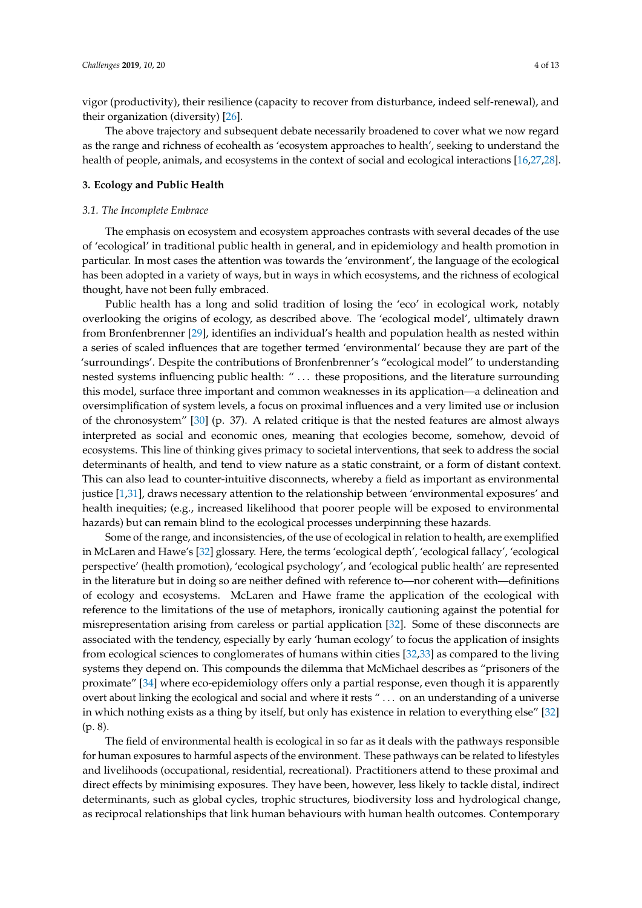vigor (productivity), their resilience (capacity to recover from disturbance, indeed self-renewal), and their organization (diversity) [\[26\]](#page-10-0).

The above trajectory and subsequent debate necessarily broadened to cover what we now regard as the range and richness of ecohealth as 'ecosystem approaches to health', seeking to understand the health of people, animals, and ecosystems in the context of social and ecological interactions [\[16](#page-9-13)[,27,](#page-10-1)[28\]](#page-10-2).

## **3. Ecology and Public Health**

#### *3.1. The Incomplete Embrace*

The emphasis on ecosystem and ecosystem approaches contrasts with several decades of the use of 'ecological' in traditional public health in general, and in epidemiology and health promotion in particular. In most cases the attention was towards the 'environment', the language of the ecological has been adopted in a variety of ways, but in ways in which ecosystems, and the richness of ecological thought, have not been fully embraced.

Public health has a long and solid tradition of losing the 'eco' in ecological work, notably overlooking the origins of ecology, as described above. The 'ecological model', ultimately drawn from Bronfenbrenner [\[29\]](#page-10-3), identifies an individual's health and population health as nested within a series of scaled influences that are together termed 'environmental' because they are part of the 'surroundings'. Despite the contributions of Bronfenbrenner's "ecological model" to understanding nested systems influencing public health: " . . . these propositions, and the literature surrounding this model, surface three important and common weaknesses in its application—a delineation and oversimplification of system levels, a focus on proximal influences and a very limited use or inclusion of the chronosystem" [\[30\]](#page-10-4) (p. 37). A related critique is that the nested features are almost always interpreted as social and economic ones, meaning that ecologies become, somehow, devoid of ecosystems. This line of thinking gives primacy to societal interventions, that seek to address the social determinants of health, and tend to view nature as a static constraint, or a form of distant context. This can also lead to counter-intuitive disconnects, whereby a field as important as environmental justice [\[1](#page-9-0)[,31\]](#page-10-5), draws necessary attention to the relationship between 'environmental exposures' and health inequities; (e.g., increased likelihood that poorer people will be exposed to environmental hazards) but can remain blind to the ecological processes underpinning these hazards.

Some of the range, and inconsistencies, of the use of ecological in relation to health, are exemplified in McLaren and Hawe's [\[32\]](#page-10-6) glossary. Here, the terms 'ecological depth', 'ecological fallacy', 'ecological perspective' (health promotion), 'ecological psychology', and 'ecological public health' are represented in the literature but in doing so are neither defined with reference to—nor coherent with—definitions of ecology and ecosystems. McLaren and Hawe frame the application of the ecological with reference to the limitations of the use of metaphors, ironically cautioning against the potential for misrepresentation arising from careless or partial application [\[32\]](#page-10-6). Some of these disconnects are associated with the tendency, especially by early 'human ecology' to focus the application of insights from ecological sciences to conglomerates of humans within cities [\[32](#page-10-6)[,33\]](#page-10-7) as compared to the living systems they depend on. This compounds the dilemma that McMichael describes as "prisoners of the proximate" [\[34\]](#page-10-8) where eco-epidemiology offers only a partial response, even though it is apparently overt about linking the ecological and social and where it rests " . . . on an understanding of a universe in which nothing exists as a thing by itself, but only has existence in relation to everything else" [\[32\]](#page-10-6) (p. 8).

The field of environmental health is ecological in so far as it deals with the pathways responsible for human exposures to harmful aspects of the environment. These pathways can be related to lifestyles and livelihoods (occupational, residential, recreational). Practitioners attend to these proximal and direct effects by minimising exposures. They have been, however, less likely to tackle distal, indirect determinants, such as global cycles, trophic structures, biodiversity loss and hydrological change, as reciprocal relationships that link human behaviours with human health outcomes. Contemporary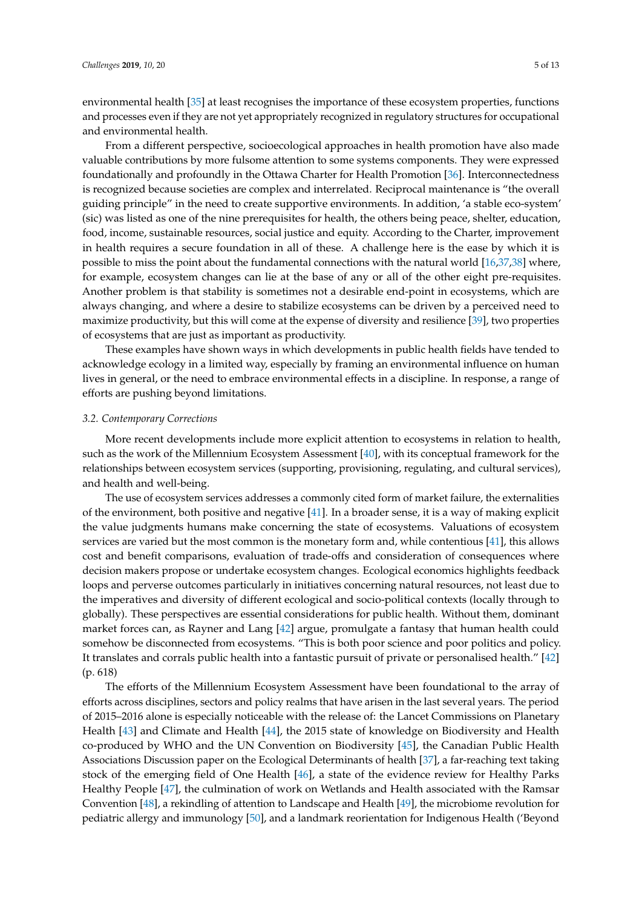environmental health [\[35\]](#page-10-9) at least recognises the importance of these ecosystem properties, functions and processes even if they are not yet appropriately recognized in regulatory structures for occupational and environmental health.

From a different perspective, socioecological approaches in health promotion have also made valuable contributions by more fulsome attention to some systems components. They were expressed foundationally and profoundly in the Ottawa Charter for Health Promotion [\[36\]](#page-10-10). Interconnectedness is recognized because societies are complex and interrelated. Reciprocal maintenance is "the overall guiding principle" in the need to create supportive environments. In addition, 'a stable eco-system' (sic) was listed as one of the nine prerequisites for health, the others being peace, shelter, education, food, income, sustainable resources, social justice and equity. According to the Charter, improvement in health requires a secure foundation in all of these. A challenge here is the ease by which it is possible to miss the point about the fundamental connections with the natural world [\[16](#page-9-13)[,37](#page-10-11)[,38\]](#page-10-12) where, for example, ecosystem changes can lie at the base of any or all of the other eight pre-requisites. Another problem is that stability is sometimes not a desirable end-point in ecosystems, which are always changing, and where a desire to stabilize ecosystems can be driven by a perceived need to maximize productivity, but this will come at the expense of diversity and resilience [\[39\]](#page-10-13), two properties of ecosystems that are just as important as productivity.

These examples have shown ways in which developments in public health fields have tended to acknowledge ecology in a limited way, especially by framing an environmental influence on human lives in general, or the need to embrace environmental effects in a discipline. In response, a range of efforts are pushing beyond limitations.

## *3.2. Contemporary Corrections*

More recent developments include more explicit attention to ecosystems in relation to health, such as the work of the Millennium Ecosystem Assessment [\[40\]](#page-10-14), with its conceptual framework for the relationships between ecosystem services (supporting, provisioning, regulating, and cultural services), and health and well-being.

The use of ecosystem services addresses a commonly cited form of market failure, the externalities of the environment, both positive and negative [\[41\]](#page-10-15). In a broader sense, it is a way of making explicit the value judgments humans make concerning the state of ecosystems. Valuations of ecosystem services are varied but the most common is the monetary form and, while contentious [\[41\]](#page-10-15), this allows cost and benefit comparisons, evaluation of trade-offs and consideration of consequences where decision makers propose or undertake ecosystem changes. Ecological economics highlights feedback loops and perverse outcomes particularly in initiatives concerning natural resources, not least due to the imperatives and diversity of different ecological and socio-political contexts (locally through to globally). These perspectives are essential considerations for public health. Without them, dominant market forces can, as Rayner and Lang [\[42\]](#page-10-16) argue, promulgate a fantasy that human health could somehow be disconnected from ecosystems. "This is both poor science and poor politics and policy. It translates and corrals public health into a fantastic pursuit of private or personalised health." [\[42\]](#page-10-16) (p. 618)

The efforts of the Millennium Ecosystem Assessment have been foundational to the array of efforts across disciplines, sectors and policy realms that have arisen in the last several years. The period of 2015–2016 alone is especially noticeable with the release of: the Lancet Commissions on Planetary Health [\[43\]](#page-10-17) and Climate and Health [\[44\]](#page-10-18), the 2015 state of knowledge on Biodiversity and Health co-produced by WHO and the UN Convention on Biodiversity [\[45\]](#page-10-19), the Canadian Public Health Associations Discussion paper on the Ecological Determinants of health [\[37\]](#page-10-11), a far-reaching text taking stock of the emerging field of One Health [\[46\]](#page-11-0), a state of the evidence review for Healthy Parks Healthy People [\[47\]](#page-11-1), the culmination of work on Wetlands and Health associated with the Ramsar Convention [\[48\]](#page-11-2), a rekindling of attention to Landscape and Health [\[49\]](#page-11-3), the microbiome revolution for pediatric allergy and immunology [\[50\]](#page-11-4), and a landmark reorientation for Indigenous Health ('Beyond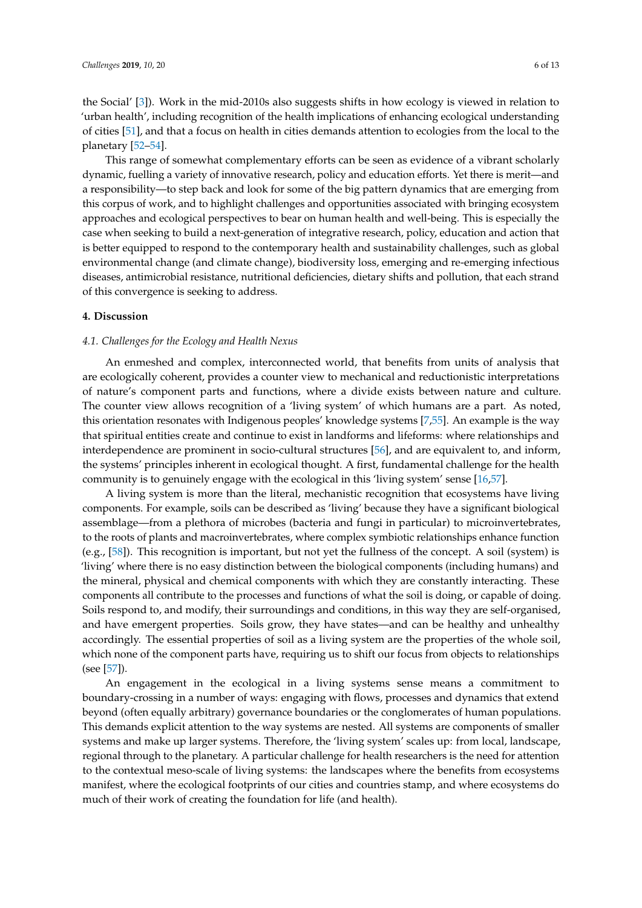the Social' [\[3\]](#page-9-2)). Work in the mid-2010s also suggests shifts in how ecology is viewed in relation to 'urban health', including recognition of the health implications of enhancing ecological understanding of cities [\[51\]](#page-11-5), and that a focus on health in cities demands attention to ecologies from the local to the planetary [\[52](#page-11-6)[–54\]](#page-11-7).

This range of somewhat complementary efforts can be seen as evidence of a vibrant scholarly dynamic, fuelling a variety of innovative research, policy and education efforts. Yet there is merit—and a responsibility—to step back and look for some of the big pattern dynamics that are emerging from this corpus of work, and to highlight challenges and opportunities associated with bringing ecosystem approaches and ecological perspectives to bear on human health and well-being. This is especially the case when seeking to build a next-generation of integrative research, policy, education and action that is better equipped to respond to the contemporary health and sustainability challenges, such as global environmental change (and climate change), biodiversity loss, emerging and re-emerging infectious diseases, antimicrobial resistance, nutritional deficiencies, dietary shifts and pollution, that each strand of this convergence is seeking to address.

#### **4. Discussion**

## *4.1. Challenges for the Ecology and Health Nexus*

An enmeshed and complex, interconnected world, that benefits from units of analysis that are ecologically coherent, provides a counter view to mechanical and reductionistic interpretations of nature's component parts and functions, where a divide exists between nature and culture. The counter view allows recognition of a 'living system' of which humans are a part. As noted, this orientation resonates with Indigenous peoples' knowledge systems [\[7](#page-9-4)[,55\]](#page-11-8). An example is the way that spiritual entities create and continue to exist in landforms and lifeforms: where relationships and interdependence are prominent in socio-cultural structures [\[56\]](#page-11-9), and are equivalent to, and inform, the systems' principles inherent in ecological thought. A first, fundamental challenge for the health community is to genuinely engage with the ecological in this 'living system' sense [\[16](#page-9-13)[,57\]](#page-11-10).

A living system is more than the literal, mechanistic recognition that ecosystems have living components. For example, soils can be described as 'living' because they have a significant biological assemblage—from a plethora of microbes (bacteria and fungi in particular) to microinvertebrates, to the roots of plants and macroinvertebrates, where complex symbiotic relationships enhance function (e.g., [\[58\]](#page-11-11)). This recognition is important, but not yet the fullness of the concept. A soil (system) is 'living' where there is no easy distinction between the biological components (including humans) and the mineral, physical and chemical components with which they are constantly interacting. These components all contribute to the processes and functions of what the soil is doing, or capable of doing. Soils respond to, and modify, their surroundings and conditions, in this way they are self-organised, and have emergent properties. Soils grow, they have states—and can be healthy and unhealthy accordingly. The essential properties of soil as a living system are the properties of the whole soil, which none of the component parts have, requiring us to shift our focus from objects to relationships (see [\[57\]](#page-11-10)).

An engagement in the ecological in a living systems sense means a commitment to boundary-crossing in a number of ways: engaging with flows, processes and dynamics that extend beyond (often equally arbitrary) governance boundaries or the conglomerates of human populations. This demands explicit attention to the way systems are nested. All systems are components of smaller systems and make up larger systems. Therefore, the 'living system' scales up: from local, landscape, regional through to the planetary. A particular challenge for health researchers is the need for attention to the contextual meso-scale of living systems: the landscapes where the benefits from ecosystems manifest, where the ecological footprints of our cities and countries stamp, and where ecosystems do much of their work of creating the foundation for life (and health).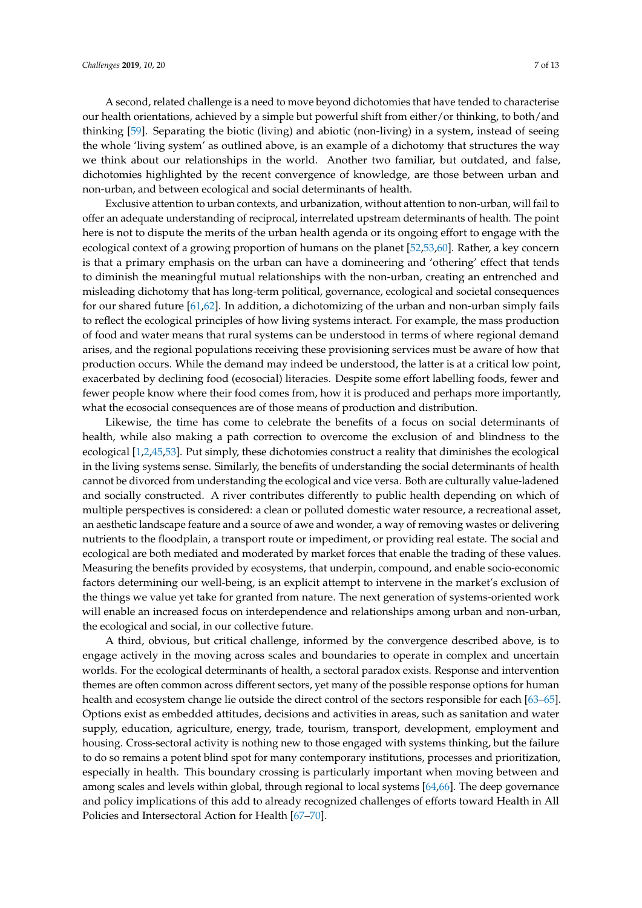A second, related challenge is a need to move beyond dichotomies that have tended to characterise our health orientations, achieved by a simple but powerful shift from either/or thinking, to both/and thinking [\[59\]](#page-11-12). Separating the biotic (living) and abiotic (non-living) in a system, instead of seeing the whole 'living system' as outlined above, is an example of a dichotomy that structures the way we think about our relationships in the world. Another two familiar, but outdated, and false, dichotomies highlighted by the recent convergence of knowledge, are those between urban and non-urban, and between ecological and social determinants of health.

Exclusive attention to urban contexts, and urbanization, without attention to non-urban, will fail to offer an adequate understanding of reciprocal, interrelated upstream determinants of health. The point here is not to dispute the merits of the urban health agenda or its ongoing effort to engage with the ecological context of a growing proportion of humans on the planet [\[52](#page-11-6)[,53](#page-11-13)[,60\]](#page-11-14). Rather, a key concern is that a primary emphasis on the urban can have a domineering and 'othering' effect that tends to diminish the meaningful mutual relationships with the non-urban, creating an entrenched and misleading dichotomy that has long-term political, governance, ecological and societal consequences for our shared future [\[61,](#page-11-15)[62\]](#page-11-16). In addition, a dichotomizing of the urban and non-urban simply fails to reflect the ecological principles of how living systems interact. For example, the mass production of food and water means that rural systems can be understood in terms of where regional demand arises, and the regional populations receiving these provisioning services must be aware of how that production occurs. While the demand may indeed be understood, the latter is at a critical low point, exacerbated by declining food (ecosocial) literacies. Despite some effort labelling foods, fewer and fewer people know where their food comes from, how it is produced and perhaps more importantly, what the ecosocial consequences are of those means of production and distribution.

Likewise, the time has come to celebrate the benefits of a focus on social determinants of health, while also making a path correction to overcome the exclusion of and blindness to the ecological [\[1,](#page-9-0)[2,](#page-9-1)[45](#page-10-19)[,53\]](#page-11-13). Put simply, these dichotomies construct a reality that diminishes the ecological in the living systems sense. Similarly, the benefits of understanding the social determinants of health cannot be divorced from understanding the ecological and vice versa. Both are culturally value-ladened and socially constructed. A river contributes differently to public health depending on which of multiple perspectives is considered: a clean or polluted domestic water resource, a recreational asset, an aesthetic landscape feature and a source of awe and wonder, a way of removing wastes or delivering nutrients to the floodplain, a transport route or impediment, or providing real estate. The social and ecological are both mediated and moderated by market forces that enable the trading of these values. Measuring the benefits provided by ecosystems, that underpin, compound, and enable socio-economic factors determining our well-being, is an explicit attempt to intervene in the market's exclusion of the things we value yet take for granted from nature. The next generation of systems-oriented work will enable an increased focus on interdependence and relationships among urban and non-urban, the ecological and social, in our collective future.

A third, obvious, but critical challenge, informed by the convergence described above, is to engage actively in the moving across scales and boundaries to operate in complex and uncertain worlds. For the ecological determinants of health, a sectoral paradox exists. Response and intervention themes are often common across different sectors, yet many of the possible response options for human health and ecosystem change lie outside the direct control of the sectors responsible for each [\[63–](#page-11-17)[65\]](#page-11-18). Options exist as embedded attitudes, decisions and activities in areas, such as sanitation and water supply, education, agriculture, energy, trade, tourism, transport, development, employment and housing. Cross-sectoral activity is nothing new to those engaged with systems thinking, but the failure to do so remains a potent blind spot for many contemporary institutions, processes and prioritization, especially in health. This boundary crossing is particularly important when moving between and among scales and levels within global, through regional to local systems [\[64,](#page-11-19)[66\]](#page-11-20). The deep governance and policy implications of this add to already recognized challenges of efforts toward Health in All Policies and Intersectoral Action for Health [\[67](#page-11-21)[–70\]](#page-12-0).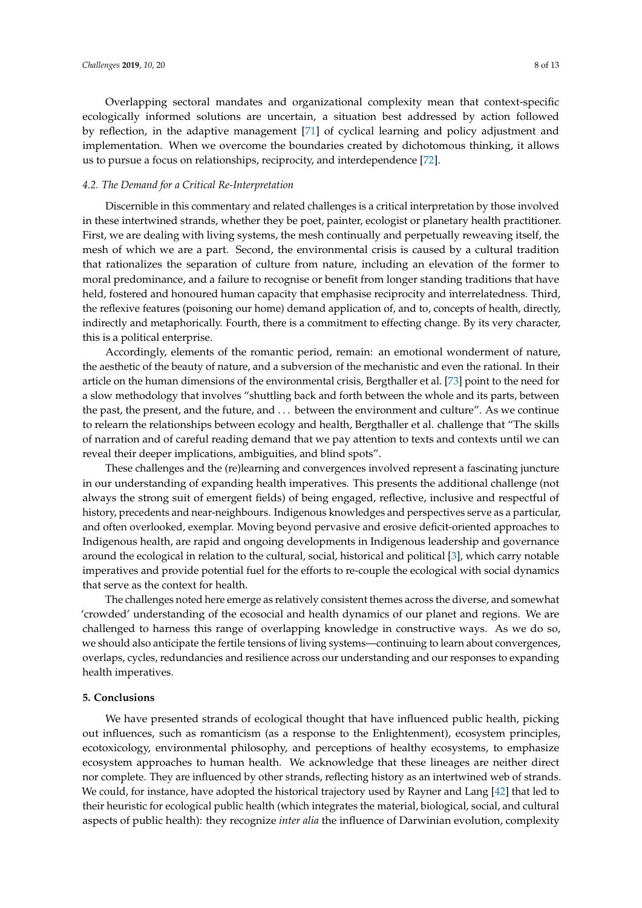Overlapping sectoral mandates and organizational complexity mean that context-specific ecologically informed solutions are uncertain, a situation best addressed by action followed by reflection, in the adaptive management [\[71\]](#page-12-1) of cyclical learning and policy adjustment and implementation. When we overcome the boundaries created by dichotomous thinking, it allows us to pursue a focus on relationships, reciprocity, and interdependence [\[72\]](#page-12-2).

## *4.2. The Demand for a Critical Re-Interpretation*

Discernible in this commentary and related challenges is a critical interpretation by those involved in these intertwined strands, whether they be poet, painter, ecologist or planetary health practitioner. First, we are dealing with living systems, the mesh continually and perpetually reweaving itself, the mesh of which we are a part. Second, the environmental crisis is caused by a cultural tradition that rationalizes the separation of culture from nature, including an elevation of the former to moral predominance, and a failure to recognise or benefit from longer standing traditions that have held, fostered and honoured human capacity that emphasise reciprocity and interrelatedness. Third, the reflexive features (poisoning our home) demand application of, and to, concepts of health, directly, indirectly and metaphorically. Fourth, there is a commitment to effecting change. By its very character, this is a political enterprise.

Accordingly, elements of the romantic period, remain: an emotional wonderment of nature, the aesthetic of the beauty of nature, and a subversion of the mechanistic and even the rational. In their article on the human dimensions of the environmental crisis, Bergthaller et al. [\[73\]](#page-12-3) point to the need for a slow methodology that involves "shuttling back and forth between the whole and its parts, between the past, the present, and the future, and . . . between the environment and culture". As we continue to relearn the relationships between ecology and health, Bergthaller et al. challenge that "The skills of narration and of careful reading demand that we pay attention to texts and contexts until we can reveal their deeper implications, ambiguities, and blind spots".

These challenges and the (re)learning and convergences involved represent a fascinating juncture in our understanding of expanding health imperatives. This presents the additional challenge (not always the strong suit of emergent fields) of being engaged, reflective, inclusive and respectful of history, precedents and near-neighbours. Indigenous knowledges and perspectives serve as a particular, and often overlooked, exemplar. Moving beyond pervasive and erosive deficit-oriented approaches to Indigenous health, are rapid and ongoing developments in Indigenous leadership and governance around the ecological in relation to the cultural, social, historical and political [\[3\]](#page-9-2), which carry notable imperatives and provide potential fuel for the efforts to re-couple the ecological with social dynamics that serve as the context for health.

The challenges noted here emerge as relatively consistent themes across the diverse, and somewhat 'crowded' understanding of the ecosocial and health dynamics of our planet and regions. We are challenged to harness this range of overlapping knowledge in constructive ways. As we do so, we should also anticipate the fertile tensions of living systems—continuing to learn about convergences, overlaps, cycles, redundancies and resilience across our understanding and our responses to expanding health imperatives.

#### **5. Conclusions**

We have presented strands of ecological thought that have influenced public health, picking out influences, such as romanticism (as a response to the Enlightenment), ecosystem principles, ecotoxicology, environmental philosophy, and perceptions of healthy ecosystems, to emphasize ecosystem approaches to human health. We acknowledge that these lineages are neither direct nor complete. They are influenced by other strands, reflecting history as an intertwined web of strands. We could, for instance, have adopted the historical trajectory used by Rayner and Lang [\[42\]](#page-10-16) that led to their heuristic for ecological public health (which integrates the material, biological, social, and cultural aspects of public health): they recognize *inter alia* the influence of Darwinian evolution, complexity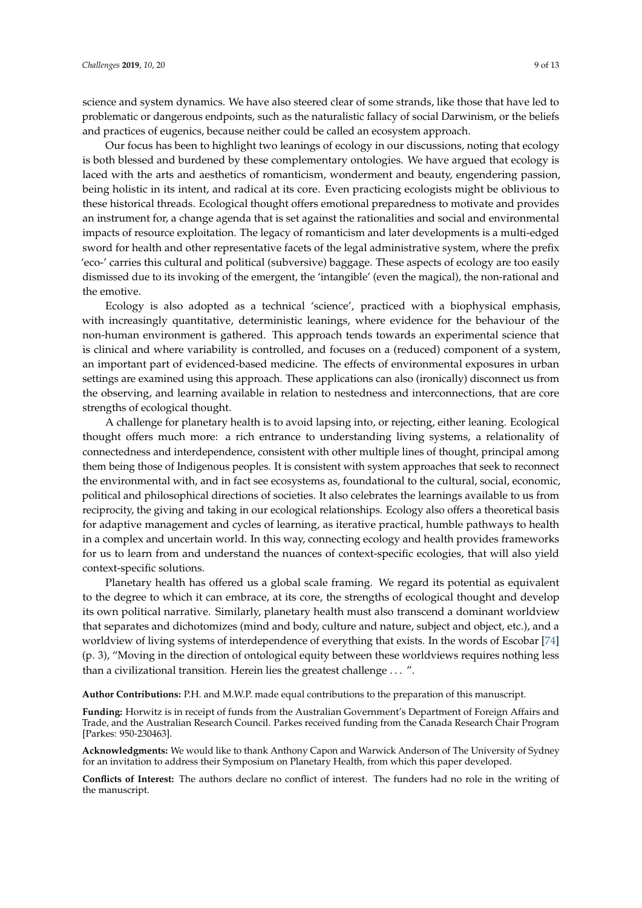science and system dynamics. We have also steered clear of some strands, like those that have led to problematic or dangerous endpoints, such as the naturalistic fallacy of social Darwinism, or the beliefs and practices of eugenics, because neither could be called an ecosystem approach.

Our focus has been to highlight two leanings of ecology in our discussions, noting that ecology is both blessed and burdened by these complementary ontologies. We have argued that ecology is laced with the arts and aesthetics of romanticism, wonderment and beauty, engendering passion, being holistic in its intent, and radical at its core. Even practicing ecologists might be oblivious to these historical threads. Ecological thought offers emotional preparedness to motivate and provides an instrument for, a change agenda that is set against the rationalities and social and environmental impacts of resource exploitation. The legacy of romanticism and later developments is a multi-edged sword for health and other representative facets of the legal administrative system, where the prefix 'eco-' carries this cultural and political (subversive) baggage. These aspects of ecology are too easily dismissed due to its invoking of the emergent, the 'intangible' (even the magical), the non-rational and the emotive.

Ecology is also adopted as a technical 'science', practiced with a biophysical emphasis, with increasingly quantitative, deterministic leanings, where evidence for the behaviour of the non-human environment is gathered. This approach tends towards an experimental science that is clinical and where variability is controlled, and focuses on a (reduced) component of a system, an important part of evidenced-based medicine. The effects of environmental exposures in urban settings are examined using this approach. These applications can also (ironically) disconnect us from the observing, and learning available in relation to nestedness and interconnections, that are core strengths of ecological thought.

A challenge for planetary health is to avoid lapsing into, or rejecting, either leaning. Ecological thought offers much more: a rich entrance to understanding living systems, a relationality of connectedness and interdependence, consistent with other multiple lines of thought, principal among them being those of Indigenous peoples. It is consistent with system approaches that seek to reconnect the environmental with, and in fact see ecosystems as, foundational to the cultural, social, economic, political and philosophical directions of societies. It also celebrates the learnings available to us from reciprocity, the giving and taking in our ecological relationships. Ecology also offers a theoretical basis for adaptive management and cycles of learning, as iterative practical, humble pathways to health in a complex and uncertain world. In this way, connecting ecology and health provides frameworks for us to learn from and understand the nuances of context-specific ecologies, that will also yield context-specific solutions.

Planetary health has offered us a global scale framing. We regard its potential as equivalent to the degree to which it can embrace, at its core, the strengths of ecological thought and develop its own political narrative. Similarly, planetary health must also transcend a dominant worldview that separates and dichotomizes (mind and body, culture and nature, subject and object, etc.), and a worldview of living systems of interdependence of everything that exists. In the words of Escobar [\[74\]](#page-12-4) (p. 3), "Moving in the direction of ontological equity between these worldviews requires nothing less than a civilizational transition. Herein lies the greatest challenge . . . ".

**Author Contributions:** P.H. and M.W.P. made equal contributions to the preparation of this manuscript.

**Funding:** Horwitz is in receipt of funds from the Australian Government's Department of Foreign Affairs and Trade, and the Australian Research Council. Parkes received funding from the Canada Research Chair Program [Parkes: 950-230463].

**Acknowledgments:** We would like to thank Anthony Capon and Warwick Anderson of The University of Sydney for an invitation to address their Symposium on Planetary Health, from which this paper developed.

**Conflicts of Interest:** The authors declare no conflict of interest. The funders had no role in the writing of the manuscript.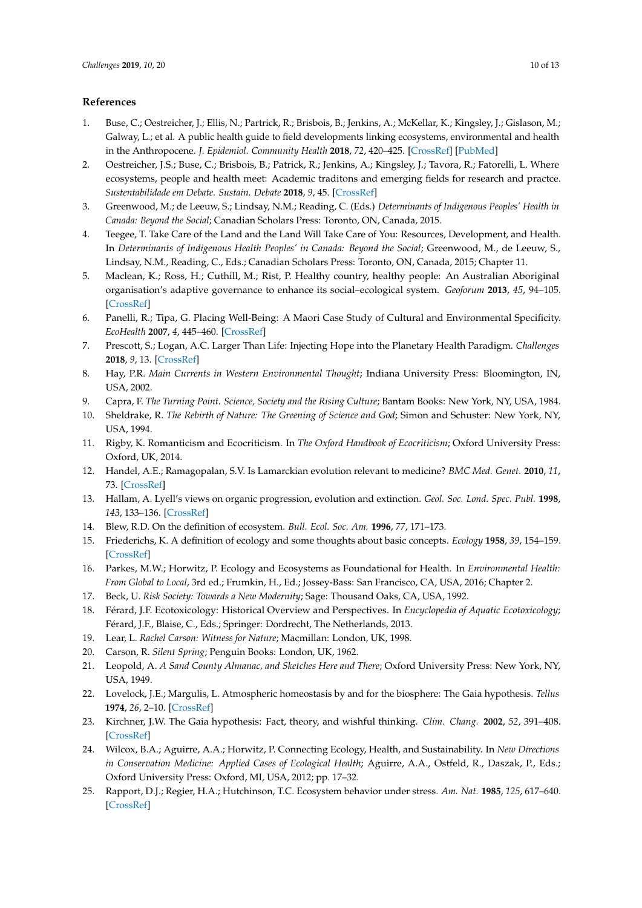## **References**

- <span id="page-9-0"></span>1. Buse, C.; Oestreicher, J.; Ellis, N.; Partrick, R.; Brisbois, B.; Jenkins, A.; McKellar, K.; Kingsley, J.; Gislason, M.; Galway, L.; et al. A public health guide to field developments linking ecosystems, environmental and health in the Anthropocene. *J. Epidemiol. Community Health* **2018**, *72*, 420–425. [\[CrossRef\]](http://dx.doi.org/10.1136/jech-2017-210082) [\[PubMed\]](http://www.ncbi.nlm.nih.gov/pubmed/29330164)
- <span id="page-9-1"></span>2. Oestreicher, J.S.; Buse, C.; Brisbois, B.; Patrick, R.; Jenkins, A.; Kingsley, J.; Tavora, R.; Fatorelli, L. Where ecosystems, people and health meet: Academic traditons and emerging fields for research and practce. *Sustentabilidade em Debate. Sustain. Debate* **2018**, *9*, 45. [\[CrossRef\]](http://dx.doi.org/10.18472/SustDeb.v9n1.2018.28258)
- <span id="page-9-2"></span>3. Greenwood, M.; de Leeuw, S.; Lindsay, N.M.; Reading, C. (Eds.) *Determinants of Indigenous Peoples' Health in Canada: Beyond the Social*; Canadian Scholars Press: Toronto, ON, Canada, 2015.
- 4. Teegee, T. Take Care of the Land and the Land Will Take Care of You: Resources, Development, and Health. In *Determinants of Indigenous Health Peoples' in Canada: Beyond the Social; Greenwood, M., de Leeuw, S.,* Lindsay, N.M., Reading, C., Eds.; Canadian Scholars Press: Toronto, ON, Canada, 2015; Chapter 11.
- 5. Maclean, K.; Ross, H.; Cuthill, M.; Rist, P. Healthy country, healthy people: An Australian Aboriginal organisation's adaptive governance to enhance its social–ecological system. *Geoforum* **2013**, *45*, 94–105. [\[CrossRef\]](http://dx.doi.org/10.1016/j.geoforum.2012.10.005)
- <span id="page-9-3"></span>6. Panelli, R.; Tipa, G. Placing Well-Being: A Maori Case Study of Cultural and Environmental Specificity. *EcoHealth* **2007**, *4*, 445–460. [\[CrossRef\]](http://dx.doi.org/10.1007/s10393-007-0133-1)
- <span id="page-9-4"></span>7. Prescott, S.; Logan, A.C. Larger Than Life: Injecting Hope into the Planetary Health Paradigm. *Challenges* **2018**, *9*, 13. [\[CrossRef\]](http://dx.doi.org/10.3390/challe9010013)
- <span id="page-9-5"></span>8. Hay, P.R. *Main Currents in Western Environmental Thought*; Indiana University Press: Bloomington, IN, USA, 2002.
- <span id="page-9-6"></span>9. Capra, F. *The Turning Point. Science, Society and the Rising Culture; Bantam Books: New York, NY, USA, 1984.*
- <span id="page-9-7"></span>10. Sheldrake, R. *The Rebirth of Nature: The Greening of Science and God*; Simon and Schuster: New York, NY, USA, 1994.
- <span id="page-9-8"></span>11. Rigby, K. Romanticism and Ecocriticism. In *The Oxford Handbook of Ecocriticism*; Oxford University Press: Oxford, UK, 2014.
- <span id="page-9-9"></span>12. Handel, A.E.; Ramagopalan, S.V. Is Lamarckian evolution relevant to medicine? *BMC Med. Genet.* **2010**, *11*, 73. [\[CrossRef\]](http://dx.doi.org/10.1186/1471-2350-11-73)
- <span id="page-9-10"></span>13. Hallam, A. Lyell's views on organic progression, evolution and extinction. *Geol. Soc. Lond. Spec. Publ.* **1998**, *143*, 133–136. [\[CrossRef\]](http://dx.doi.org/10.1144/GSL.SP.1998.143.01.11)
- <span id="page-9-11"></span>14. Blew, R.D. On the definition of ecosystem. *Bull. Ecol. Soc. Am.* **1996**, *77*, 171–173.
- <span id="page-9-12"></span>15. Friederichs, K. A definition of ecology and some thoughts about basic concepts. *Ecology* **1958**, *39*, 154–159. [\[CrossRef\]](http://dx.doi.org/10.2307/1929981)
- <span id="page-9-13"></span>16. Parkes, M.W.; Horwitz, P. Ecology and Ecosystems as Foundational for Health. In *Environmental Health: From Global to Local*, 3rd ed.; Frumkin, H., Ed.; Jossey-Bass: San Francisco, CA, USA, 2016; Chapter 2.
- <span id="page-9-14"></span>17. Beck, U. *Risk Society: Towards a New Modernity*; Sage: Thousand Oaks, CA, USA, 1992.
- <span id="page-9-15"></span>18. Férard, J.F. Ecotoxicology: Historical Overview and Perspectives. In *Encyclopedia of Aquatic Ecotoxicology*; Férard, J.F., Blaise, C., Eds.; Springer: Dordrecht, The Netherlands, 2013.
- <span id="page-9-16"></span>19. Lear, L. *Rachel Carson: Witness for Nature*; Macmillan: London, UK, 1998.
- <span id="page-9-17"></span>20. Carson, R. *Silent Spring*; Penguin Books: London, UK, 1962.
- <span id="page-9-18"></span>21. Leopold, A. *A Sand County Almanac, and Sketches Here and There*; Oxford University Press: New York, NY, USA, 1949.
- <span id="page-9-19"></span>22. Lovelock, J.E.; Margulis, L. Atmospheric homeostasis by and for the biosphere: The Gaia hypothesis. *Tellus* **1974**, *26*, 2–10. [\[CrossRef\]](http://dx.doi.org/10.3402/tellusa.v26i1-2.9731)
- <span id="page-9-20"></span>23. Kirchner, J.W. The Gaia hypothesis: Fact, theory, and wishful thinking. *Clim. Chang.* **2002**, *52*, 391–408. [\[CrossRef\]](http://dx.doi.org/10.1023/A:1014237331082)
- <span id="page-9-21"></span>24. Wilcox, B.A.; Aguirre, A.A.; Horwitz, P. Connecting Ecology, Health, and Sustainability. In *New Directions in Conservation Medicine: Applied Cases of Ecological Health*; Aguirre, A.A., Ostfeld, R., Daszak, P., Eds.; Oxford University Press: Oxford, MI, USA, 2012; pp. 17–32.
- <span id="page-9-22"></span>25. Rapport, D.J.; Regier, H.A.; Hutchinson, T.C. Ecosystem behavior under stress. *Am. Nat.* **1985**, *125*, 617–640. [\[CrossRef\]](http://dx.doi.org/10.1086/284368)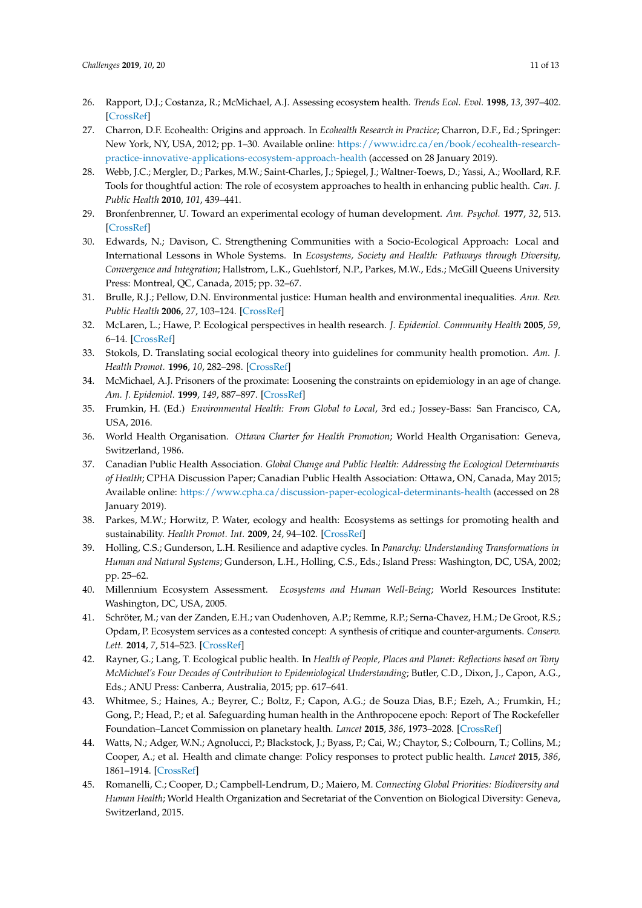- <span id="page-10-0"></span>26. Rapport, D.J.; Costanza, R.; McMichael, A.J. Assessing ecosystem health. *Trends Ecol. Evol.* **1998**, *13*, 397–402. [\[CrossRef\]](http://dx.doi.org/10.1016/S0169-5347(98)01449-9)
- <span id="page-10-1"></span>27. Charron, D.F. Ecohealth: Origins and approach. In *Ecohealth Research in Practice*; Charron, D.F., Ed.; Springer: New York, NY, USA, 2012; pp. 1–30. Available online: [https://www.idrc.ca/en/book/ecohealth-research](https://www.idrc.ca/en/book/ecohealth-research-practice-innovative-applications-ecosystem-approach-health)[practice-innovative-applications-ecosystem-approach-health](https://www.idrc.ca/en/book/ecohealth-research-practice-innovative-applications-ecosystem-approach-health) (accessed on 28 January 2019).
- <span id="page-10-2"></span>28. Webb, J.C.; Mergler, D.; Parkes, M.W.; Saint-Charles, J.; Spiegel, J.; Waltner-Toews, D.; Yassi, A.; Woollard, R.F. Tools for thoughtful action: The role of ecosystem approaches to health in enhancing public health. *Can. J. Public Health* **2010**, *101*, 439–441.
- <span id="page-10-3"></span>29. Bronfenbrenner, U. Toward an experimental ecology of human development. *Am. Psychol.* **1977**, *32*, 513. [\[CrossRef\]](http://dx.doi.org/10.1037/0003-066X.32.7.513)
- <span id="page-10-4"></span>30. Edwards, N.; Davison, C. Strengthening Communities with a Socio-Ecological Approach: Local and International Lessons in Whole Systems. In *Ecosystems, Society and Health: Pathways through Diversity, Convergence and Integration*; Hallstrom, L.K., Guehlstorf, N.P., Parkes, M.W., Eds.; McGill Queens University Press: Montreal, QC, Canada, 2015; pp. 32–67.
- <span id="page-10-5"></span>31. Brulle, R.J.; Pellow, D.N. Environmental justice: Human health and environmental inequalities. *Ann. Rev. Public Health* **2006**, *27*, 103–124. [\[CrossRef\]](http://dx.doi.org/10.1146/annurev.publhealth.27.021405.102124)
- <span id="page-10-6"></span>32. McLaren, L.; Hawe, P. Ecological perspectives in health research. *J. Epidemiol. Community Health* **2005**, *59*, 6–14. [\[CrossRef\]](http://dx.doi.org/10.1136/jech.2003.018044)
- <span id="page-10-7"></span>33. Stokols, D. Translating social ecological theory into guidelines for community health promotion. *Am. J. Health Promot.* **1996**, *10*, 282–298. [\[CrossRef\]](http://dx.doi.org/10.4278/0890-1171-10.4.282)
- <span id="page-10-8"></span>34. McMichael, A.J. Prisoners of the proximate: Loosening the constraints on epidemiology in an age of change. *Am. J. Epidemiol.* **1999**, *149*, 887–897. [\[CrossRef\]](http://dx.doi.org/10.1093/oxfordjournals.aje.a009732)
- <span id="page-10-9"></span>35. Frumkin, H. (Ed.) *Environmental Health: From Global to Local*, 3rd ed.; Jossey-Bass: San Francisco, CA, USA, 2016.
- <span id="page-10-10"></span>36. World Health Organisation. *Ottawa Charter for Health Promotion*; World Health Organisation: Geneva, Switzerland, 1986.
- <span id="page-10-11"></span>37. Canadian Public Health Association. *Global Change and Public Health: Addressing the Ecological Determinants of Health*; CPHA Discussion Paper; Canadian Public Health Association: Ottawa, ON, Canada, May 2015; Available online: <https://www.cpha.ca/discussion-paper-ecological-determinants-health> (accessed on 28 January 2019).
- <span id="page-10-12"></span>38. Parkes, M.W.; Horwitz, P. Water, ecology and health: Ecosystems as settings for promoting health and sustainability. *Health Promot. Int.* **2009**, *24*, 94–102. [\[CrossRef\]](http://dx.doi.org/10.1093/heapro/dan044)
- <span id="page-10-13"></span>39. Holling, C.S.; Gunderson, L.H. Resilience and adaptive cycles. In *Panarchy: Understanding Transformations in Human and Natural Systems*; Gunderson, L.H., Holling, C.S., Eds.; Island Press: Washington, DC, USA, 2002; pp. 25–62.
- <span id="page-10-14"></span>40. Millennium Ecosystem Assessment. *Ecosystems and Human Well-Being*; World Resources Institute: Washington, DC, USA, 2005.
- <span id="page-10-15"></span>41. Schröter, M.; van der Zanden, E.H.; van Oudenhoven, A.P.; Remme, R.P.; Serna-Chavez, H.M.; De Groot, R.S.; Opdam, P. Ecosystem services as a contested concept: A synthesis of critique and counter-arguments. *Conserv. Lett.* **2014**, *7*, 514–523. [\[CrossRef\]](http://dx.doi.org/10.1111/conl.12091)
- <span id="page-10-16"></span>42. Rayner, G.; Lang, T. Ecological public health. In *Health of People, Places and Planet: Reflections based on Tony McMichael's Four Decades of Contribution to Epidemiological Understanding*; Butler, C.D., Dixon, J., Capon, A.G., Eds.; ANU Press: Canberra, Australia, 2015; pp. 617–641.
- <span id="page-10-17"></span>43. Whitmee, S.; Haines, A.; Beyrer, C.; Boltz, F.; Capon, A.G.; de Souza Dias, B.F.; Ezeh, A.; Frumkin, H.; Gong, P.; Head, P.; et al. Safeguarding human health in the Anthropocene epoch: Report of The Rockefeller Foundation–Lancet Commission on planetary health. *Lancet* **2015**, *386*, 1973–2028. [\[CrossRef\]](http://dx.doi.org/10.1016/S0140-6736(15)60901-1)
- <span id="page-10-18"></span>44. Watts, N.; Adger, W.N.; Agnolucci, P.; Blackstock, J.; Byass, P.; Cai, W.; Chaytor, S.; Colbourn, T.; Collins, M.; Cooper, A.; et al. Health and climate change: Policy responses to protect public health. *Lancet* **2015**, *386*, 1861–1914. [\[CrossRef\]](http://dx.doi.org/10.1016/S0140-6736(15)60854-6)
- <span id="page-10-19"></span>45. Romanelli, C.; Cooper, D.; Campbell-Lendrum, D.; Maiero, M. *Connecting Global Priorities: Biodiversity and Human Health*; World Health Organization and Secretariat of the Convention on Biological Diversity: Geneva, Switzerland, 2015.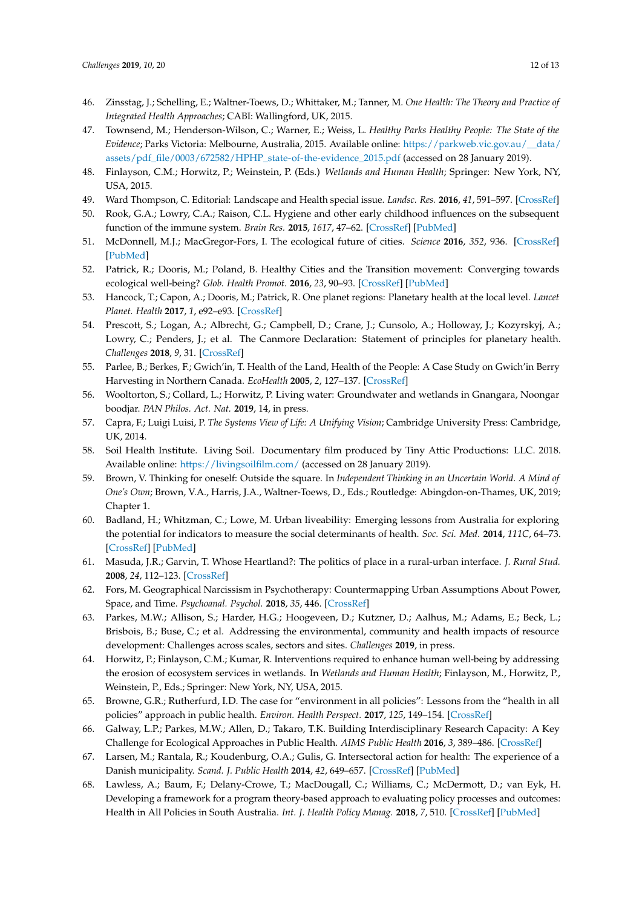- <span id="page-11-0"></span>46. Zinsstag, J.; Schelling, E.; Waltner-Toews, D.; Whittaker, M.; Tanner, M. *One Health: The Theory and Practice of Integrated Health Approaches*; CABI: Wallingford, UK, 2015.
- <span id="page-11-1"></span>47. Townsend, M.; Henderson-Wilson, C.; Warner, E.; Weiss, L. *Healthy Parks Healthy People: The State of the Evidence*; Parks Victoria: Melbourne, Australia, 2015. Available online: [https://parkweb.vic.gov.au/\\_\\_data/](https://parkweb.vic.gov.au/__data/assets/pdf_file/0003/672582/HPHP_state-of-the-evidence_2015.pdf) [assets/pdf\\_file/0003/672582/HPHP\\_state-of-the-evidence\\_2015.pdf](https://parkweb.vic.gov.au/__data/assets/pdf_file/0003/672582/HPHP_state-of-the-evidence_2015.pdf) (accessed on 28 January 2019).
- <span id="page-11-2"></span>48. Finlayson, C.M.; Horwitz, P.; Weinstein, P. (Eds.) *Wetlands and Human Health*; Springer: New York, NY, USA, 2015.
- <span id="page-11-3"></span>49. Ward Thompson, C. Editorial: Landscape and Health special issue. *Landsc. Res.* **2016**, *41*, 591–597. [\[CrossRef\]](http://dx.doi.org/10.1080/01426397.2016.1196878)
- <span id="page-11-4"></span>50. Rook, G.A.; Lowry, C.A.; Raison, C.L. Hygiene and other early childhood influences on the subsequent function of the immune system. *Brain Res.* **2015**, *1617*, 47–62. [\[CrossRef\]](http://dx.doi.org/10.1016/j.brainres.2014.04.004) [\[PubMed\]](http://www.ncbi.nlm.nih.gov/pubmed/24732404)
- <span id="page-11-5"></span>51. McDonnell, M.J.; MacGregor-Fors, I. The ecological future of cities. *Science* **2016**, *352*, 936. [\[CrossRef\]](http://dx.doi.org/10.1126/science.aaf3630) [\[PubMed\]](http://www.ncbi.nlm.nih.gov/pubmed/27199416)
- <span id="page-11-6"></span>52. Patrick, R.; Dooris, M.; Poland, B. Healthy Cities and the Transition movement: Converging towards ecological well-being? *Glob. Health Promot.* **2016**, *23*, 90–93. [\[CrossRef\]](http://dx.doi.org/10.1177/1757975915595341) [\[PubMed\]](http://www.ncbi.nlm.nih.gov/pubmed/27199022)
- <span id="page-11-13"></span>53. Hancock, T.; Capon, A.; Dooris, M.; Patrick, R. One planet regions: Planetary health at the local level. *Lancet Planet. Health* **2017**, *1*, e92–e93. [\[CrossRef\]](http://dx.doi.org/10.1016/S2542-5196(17)30044-X)
- <span id="page-11-7"></span>54. Prescott, S.; Logan, A.; Albrecht, G.; Campbell, D.; Crane, J.; Cunsolo, A.; Holloway, J.; Kozyrskyj, A.; Lowry, C.; Penders, J.; et al. The Canmore Declaration: Statement of principles for planetary health. *Challenges* **2018**, *9*, 31. [\[CrossRef\]](http://dx.doi.org/10.3390/challe9020031)
- <span id="page-11-8"></span>55. Parlee, B.; Berkes, F.; Gwich'in, T. Health of the Land, Health of the People: A Case Study on Gwich'in Berry Harvesting in Northern Canada. *EcoHealth* **2005**, *2*, 127–137. [\[CrossRef\]](http://dx.doi.org/10.1007/s10393-005-3870-z)
- <span id="page-11-9"></span>56. Wooltorton, S.; Collard, L.; Horwitz, P. Living water: Groundwater and wetlands in Gnangara, Noongar boodjar. *PAN Philos. Act. Nat.* **2019**, 14, in press.
- <span id="page-11-10"></span>57. Capra, F.; Luigi Luisi, P. *The Systems View of Life: A Unifying Vision*; Cambridge University Press: Cambridge, UK, 2014.
- <span id="page-11-11"></span>58. Soil Health Institute. Living Soil. Documentary film produced by Tiny Attic Productions: LLC. 2018. Available online: <https://livingsoilfilm.com/> (accessed on 28 January 2019).
- <span id="page-11-12"></span>59. Brown, V. Thinking for oneself: Outside the square. In *Independent Thinking in an Uncertain World. A Mind of One's Own*; Brown, V.A., Harris, J.A., Waltner-Toews, D., Eds.; Routledge: Abingdon-on-Thames, UK, 2019; Chapter 1.
- <span id="page-11-14"></span>60. Badland, H.; Whitzman, C.; Lowe, M. Urban liveability: Emerging lessons from Australia for exploring the potential for indicators to measure the social determinants of health. *Soc. Sci. Med.* **2014**, *111C*, 64–73. [\[CrossRef\]](http://dx.doi.org/10.1016/j.socscimed.2014.04.003) [\[PubMed\]](http://www.ncbi.nlm.nih.gov/pubmed/24762261)
- <span id="page-11-15"></span>61. Masuda, J.R.; Garvin, T. Whose Heartland?: The politics of place in a rural-urban interface. *J. Rural Stud.* **2008**, *24*, 112–123. [\[CrossRef\]](http://dx.doi.org/10.1016/j.jrurstud.2007.08.003)
- <span id="page-11-16"></span>62. Fors, M. Geographical Narcissism in Psychotherapy: Countermapping Urban Assumptions About Power, Space, and Time. *Psychoanal. Psychol.* **2018**, *35*, 446. [\[CrossRef\]](http://dx.doi.org/10.1037/pap0000179)
- <span id="page-11-17"></span>63. Parkes, M.W.; Allison, S.; Harder, H.G.; Hoogeveen, D.; Kutzner, D.; Aalhus, M.; Adams, E.; Beck, L.; Brisbois, B.; Buse, C.; et al. Addressing the environmental, community and health impacts of resource development: Challenges across scales, sectors and sites. *Challenges* **2019**, in press.
- <span id="page-11-19"></span>64. Horwitz, P.; Finlayson, C.M.; Kumar, R. Interventions required to enhance human well-being by addressing the erosion of ecosystem services in wetlands. In *Wetlands and Human Health*; Finlayson, M., Horwitz, P., Weinstein, P., Eds.; Springer: New York, NY, USA, 2015.
- <span id="page-11-18"></span>65. Browne, G.R.; Rutherfurd, I.D. The case for "environment in all policies": Lessons from the "health in all policies" approach in public health. *Environ. Health Perspect.* **2017**, *125*, 149–154. [\[CrossRef\]](http://dx.doi.org/10.1289/EHP294)
- <span id="page-11-20"></span>66. Galway, L.P.; Parkes, M.W.; Allen, D.; Takaro, T.K. Building Interdisciplinary Research Capacity: A Key Challenge for Ecological Approaches in Public Health. *AIMS Public Health* **2016**, *3*, 389–486. [\[CrossRef\]](http://dx.doi.org/10.3934/publichealth.2016.2.389)
- <span id="page-11-21"></span>67. Larsen, M.; Rantala, R.; Koudenburg, O.A.; Gulis, G. Intersectoral action for health: The experience of a Danish municipality. *Scand. J. Public Health* **2014**, *42*, 649–657. [\[CrossRef\]](http://dx.doi.org/10.1177/1403494814544397) [\[PubMed\]](http://www.ncbi.nlm.nih.gov/pubmed/25074270)
- 68. Lawless, A.; Baum, F.; Delany-Crowe, T.; MacDougall, C.; Williams, C.; McDermott, D.; van Eyk, H. Developing a framework for a program theory-based approach to evaluating policy processes and outcomes: Health in All Policies in South Australia. *Int. J. Health Policy Manag.* **2018**, *7*, 510. [\[CrossRef\]](http://dx.doi.org/10.15171/ijhpm.2017.121) [\[PubMed\]](http://www.ncbi.nlm.nih.gov/pubmed/29935128)